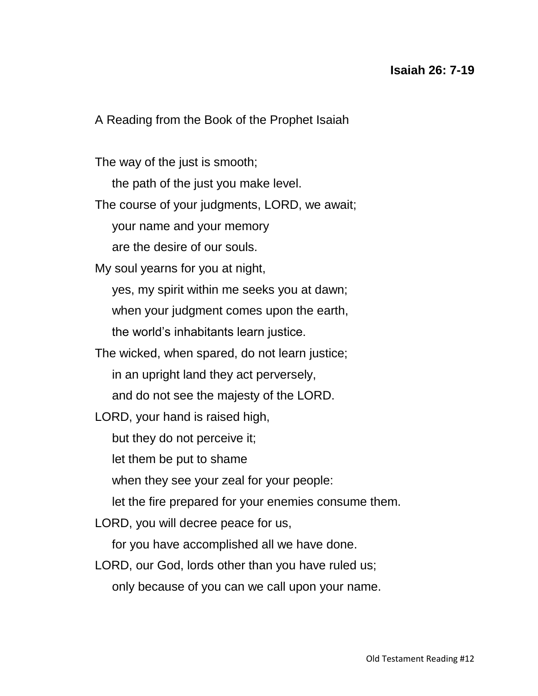A Reading from the Book of the Prophet Isaiah

The way of the just is smooth;

the path of the just you make level.

The course of your judgments, LORD, we await;

your name and your memory

are the desire of our souls.

My soul yearns for you at night,

yes, my spirit within me seeks you at dawn;

when your judgment comes upon the earth,

the world's inhabitants learn justice.

The wicked, when spared, do not learn justice;

in an upright land they act perversely,

and do not see the majesty of the LORD.

LORD, your hand is raised high,

but they do not perceive it;

let them be put to shame

when they see your zeal for your people:

let the fire prepared for your enemies consume them.

LORD, you will decree peace for us,

for you have accomplished all we have done.

LORD, our God, lords other than you have ruled us;

only because of you can we call upon your name.